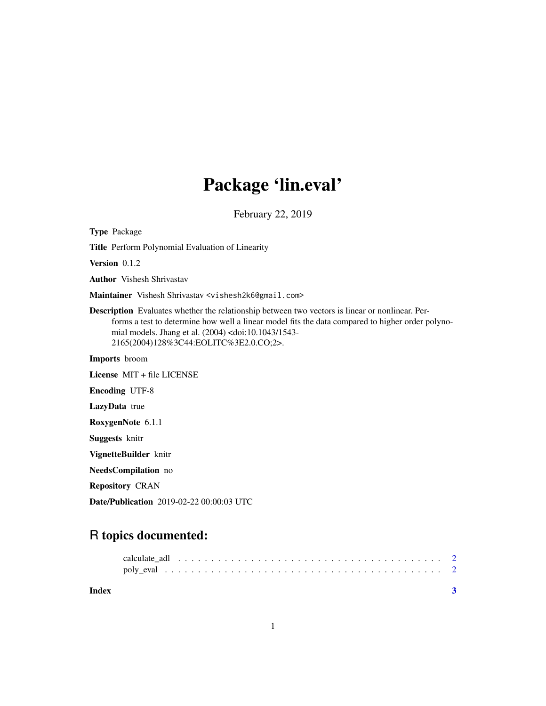## Package 'lin.eval'

February 22, 2019

Type Package Title Perform Polynomial Evaluation of Linearity Version 0.1.2 Author Vishesh Shrivastav Maintainer Vishesh Shrivastav <vishesh2k6@gmail.com> Description Evaluates whether the relationship between two vectors is linear or nonlinear. Performs a test to determine how well a linear model fits the data compared to higher order polynomial models. Jhang et al. (2004) <doi:10.1043/1543- 2165(2004)128%3C44:EOLITC%3E2.0.CO;2>. Imports broom License MIT + file LICENSE Encoding UTF-8 LazyData true RoxygenNote 6.1.1 Suggests knitr VignetteBuilder knitr NeedsCompilation no Repository CRAN Date/Publication 2019-02-22 00:00:03 UTC

### R topics documented:

| Index |  |  |  |  |  |  |  |  |  |  |  |  |  |  |  |  |  |  |  |
|-------|--|--|--|--|--|--|--|--|--|--|--|--|--|--|--|--|--|--|--|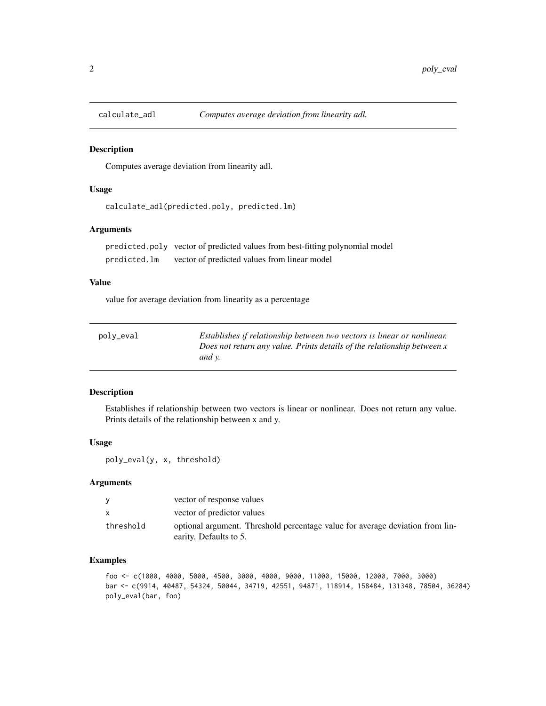<span id="page-1-0"></span>

#### Description

Computes average deviation from linearity adl.

#### Usage

```
calculate_adl(predicted.poly, predicted.lm)
```
#### Arguments

predicted.poly vector of predicted values from best-fitting polynomial model predicted.lm vector of predicted values from linear model

#### Value

value for average deviation from linearity as a percentage

| polv_eval | Establishes if relationship between two vectors is linear or nonlinear. |
|-----------|-------------------------------------------------------------------------|
|           | Does not return any value. Prints details of the relationship between x |
|           | and <i>v</i> .                                                          |

#### Description

Establishes if relationship between two vectors is linear or nonlinear. Does not return any value. Prints details of the relationship between x and y.

#### Usage

poly\_eval(y, x, threshold)

#### **Arguments**

| <b>V</b>     | vector of response values                                                                               |
|--------------|---------------------------------------------------------------------------------------------------------|
| $\mathbf{x}$ | vector of predictor values                                                                              |
| threshold    | optional argument. Threshold percentage value for average deviation from lin-<br>earity. Defaults to 5. |

#### Examples

```
foo <- c(1000, 4000, 5000, 4500, 3000, 4000, 9000, 11000, 15000, 12000, 7000, 3000)
bar <- c(9914, 40487, 54324, 50044, 34719, 42551, 94871, 118914, 158484, 131348, 78504, 36284)
poly_eval(bar, foo)
```